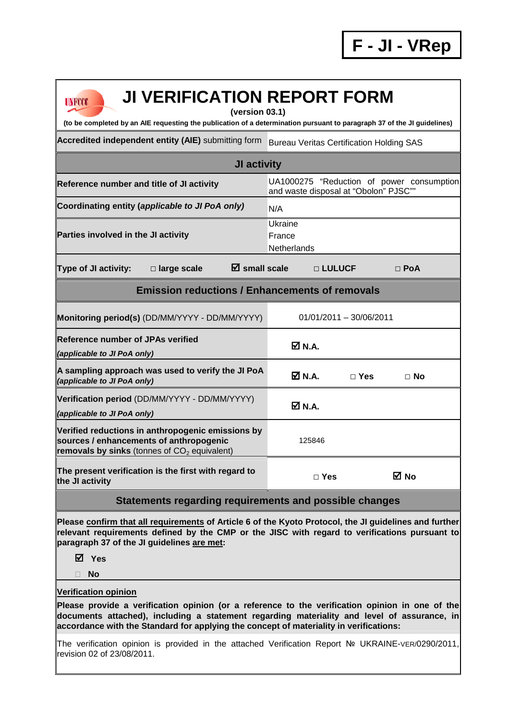| <b>UNFCCC</b> |  |
|---------------|--|
|               |  |

## **JI VERIFICATION REPORT FORM**

**(version 03.1)** 

**(to be completed by an AIE requesting the publication of a determination pursuant to paragraph 37 of the JI guidelines)** 

Accredited independent entity (AIE) submitting form Bureau Veritas Certification Holding SAS

| <b>JI activity</b>                                                                                                                             |                                       |            |                                           |
|------------------------------------------------------------------------------------------------------------------------------------------------|---------------------------------------|------------|-------------------------------------------|
| Reference number and title of JI activity                                                                                                      | and waste disposal at "Obolon" PJSC"" |            | UA1000275 "Reduction of power consumption |
| Coordinating entity (applicable to JI PoA only)                                                                                                | N/A                                   |            |                                           |
| Parties involved in the JI activity                                                                                                            | Ukraine<br>France<br>Netherlands      |            |                                           |
| $\boxtimes$ small scale<br><b>Type of JI activity:</b><br>□ large scale                                                                        | □ LULUCF                              |            | $\Box$ PoA                                |
| <b>Emission reductions / Enhancements of removals</b>                                                                                          |                                       |            |                                           |
| Monitoring period(s) (DD/MM/YYYY - DD/MM/YYYY)                                                                                                 | $01/01/2011 - 30/06/2011$             |            |                                           |
| <b>Reference number of JPAs verified</b><br>(applicable to JI PoA only)                                                                        | <b>☑ N.A.</b>                         |            |                                           |
| A sampling approach was used to verify the JI PoA<br>(applicable to JI PoA only)                                                               | ØN.A.                                 | $\Box$ Yes | $\Box$ No                                 |
| Verification period (DD/MM/YYYY - DD/MM/YYYY)<br>(applicable to JI PoA only)                                                                   | M N.A.                                |            |                                           |
| Verified reductions in anthropogenic emissions by<br>sources / enhancements of anthropogenic<br>removals by sinks (tonnes of $CO2$ equivalent) | 125846                                |            |                                           |
| The present verification is the first with regard to<br>the JI activity                                                                        | $\Box$ Yes                            |            | M No                                      |

## **Statements regarding requirements and possible changes**

**Please confirm that all requirements of Article 6 of the Kyoto Protocol, the JI guidelines and further relevant requirements defined by the CMP or the JISC with regard to verifications pursuant to paragraph 37 of the JI guidelines are met:** 

**Yes** 

**No** 

## **Verification opinion**

**Please provide a verification opinion (or a reference to the verification opinion in one of the documents attached), including a statement regarding materiality and level of assurance, in accordance with the Standard for applying the concept of materiality in verifications:** 

The verification opinion is provided in the attached Verification Report № UKRAINE-VER/0290/2011, revision 02 of 23/08/2011.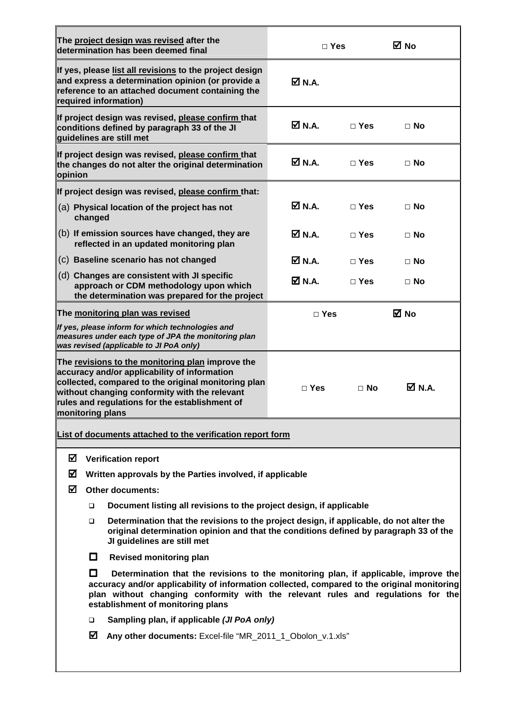|                  |         | The project design was revised after the                                                                                                                                                                                                                                                                    |                              |            |                              |
|------------------|---------|-------------------------------------------------------------------------------------------------------------------------------------------------------------------------------------------------------------------------------------------------------------------------------------------------------------|------------------------------|------------|------------------------------|
|                  |         | determination has been deemed final                                                                                                                                                                                                                                                                         | $\Box$ Yes                   |            | ⊠ No                         |
|                  |         | If yes, please list all revisions to the project design<br>and express a determination opinion (or provide a<br>reference to an attached document containing the<br>required information)                                                                                                                   | ØN.A.                        |            |                              |
|                  |         | If project design was revised, please confirm that<br>conditions defined by paragraph 33 of the JI<br>quidelines are still met                                                                                                                                                                              | $\overline{\mathsf{M}}$ N.A. | $\Box$ Yes | $\Box$ No                    |
| opinion          |         | If project design was revised, please confirm that<br>the changes do not alter the original determination                                                                                                                                                                                                   | Ø N.A.                       | $\Box$ Yes | $\Box$ No                    |
|                  |         | If project design was revised, please confirm that:                                                                                                                                                                                                                                                         |                              |            |                              |
|                  | changed | (a) Physical location of the project has not                                                                                                                                                                                                                                                                | Ø N.A.                       | $\Box$ Yes | $\Box$ No                    |
|                  |         | (b) If emission sources have changed, they are<br>reflected in an updated monitoring plan                                                                                                                                                                                                                   | Ø N.A.                       | $\Box$ Yes | $\Box$ No                    |
|                  |         | (c) Baseline scenario has not changed                                                                                                                                                                                                                                                                       | Ø N.A.                       | $\Box$ Yes | $\Box$ No                    |
|                  |         | (d) Changes are consistent with JI specific<br>approach or CDM methodology upon which<br>the determination was prepared for the project                                                                                                                                                                     | Ø N.A.                       | $\Box$ Yes | $\Box$ No                    |
|                  |         | The monitoring plan was revised                                                                                                                                                                                                                                                                             | $\Box$ Yes                   |            | <b>⊠</b> No                  |
|                  |         | If yes, please inform for which technologies and<br>measures under each type of JPA the monitoring plan<br>was revised (applicable to JI PoA only)                                                                                                                                                          |                              |            |                              |
| monitoring plans |         | The revisions to the monitoring plan improve the<br>accuracy and/or applicability of information<br>collected, compared to the original monitoring plan<br>without changing conformity with the relevant<br>rules and regulations for the establishment of                                                  | $\Box$ Yes                   | $\Box$ No  | $\overline{\mathsf{M}}$ N.A. |
|                  |         | List of documents attached to the verification report form                                                                                                                                                                                                                                                  |                              |            |                              |
| ☑                |         | <b>Verification report</b>                                                                                                                                                                                                                                                                                  |                              |            |                              |
| ☑                |         | Written approvals by the Parties involved, if applicable                                                                                                                                                                                                                                                    |                              |            |                              |
| ☑                |         | <b>Other documents:</b>                                                                                                                                                                                                                                                                                     |                              |            |                              |
|                  | □       | Document listing all revisions to the project design, if applicable                                                                                                                                                                                                                                         |                              |            |                              |
|                  | ▫       | Determination that the revisions to the project design, if applicable, do not alter the<br>original determination opinion and that the conditions defined by paragraph 33 of the<br>JI guidelines are still met                                                                                             |                              |            |                              |
|                  | $\Box$  | <b>Revised monitoring plan</b>                                                                                                                                                                                                                                                                              |                              |            |                              |
|                  | l I     | Determination that the revisions to the monitoring plan, if applicable, improve the<br>accuracy and/or applicability of information collected, compared to the original monitoring<br>plan without changing conformity with the relevant rules and regulations for the<br>establishment of monitoring plans |                              |            |                              |
|                  | □       | Sampling plan, if applicable (JI PoA only)                                                                                                                                                                                                                                                                  |                              |            |                              |
|                  | ☑       | Any other documents: Excel-file "MR_2011_1_Obolon_v.1.xls"                                                                                                                                                                                                                                                  |                              |            |                              |
|                  |         |                                                                                                                                                                                                                                                                                                             |                              |            |                              |

 $\overline{\mathbf{u}}$